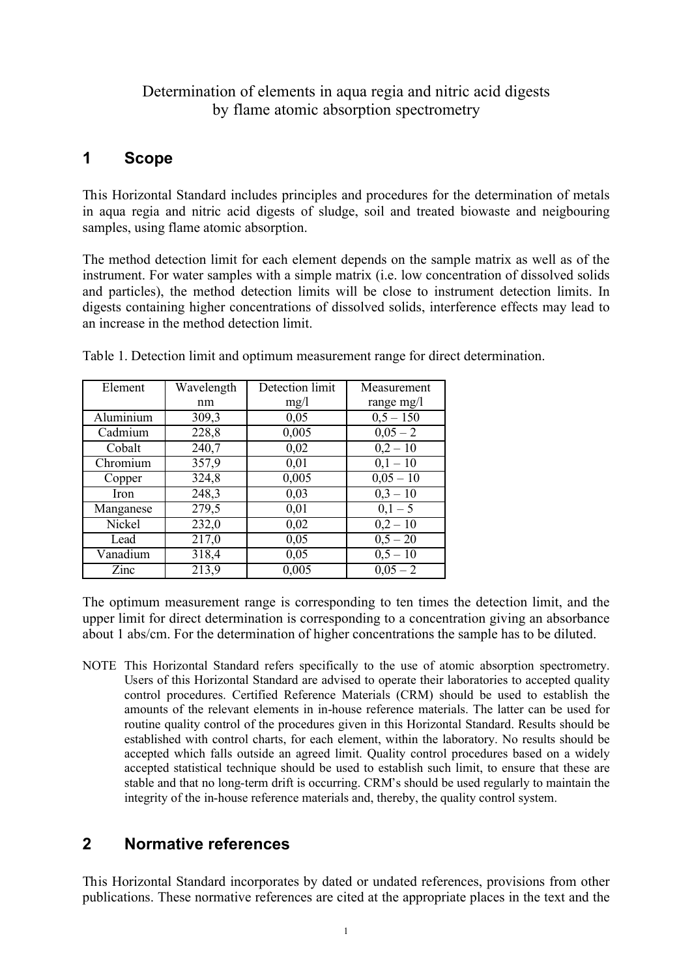### Determination of elements in aqua regia and nitric acid digests by flame atomic absorption spectrometry

## **1 Scope**

This Horizontal Standard includes principles and procedures for the determination of metals in aqua regia and nitric acid digests of sludge, soil and treated biowaste and neigbouring samples, using flame atomic absorption.

The method detection limit for each element depends on the sample matrix as well as of the instrument. For water samples with a simple matrix (i.e. low concentration of dissolved solids and particles), the method detection limits will be close to instrument detection limits. In digests containing higher concentrations of dissolved solids, interference effects may lead to an increase in the method detection limit.

| Element          | Wavelength | Detection limit | Measurement  |
|------------------|------------|-----------------|--------------|
|                  | nm         | mg/1            | range $mg/l$ |
| <b>Aluminium</b> | 309,3      | 0,05            | $0,5 - 150$  |
| Cadmium          | 228,8      | 0,005           | $0,05 - 2$   |
| Cobalt           | 240,7      | 0,02            | $0,2 - 10$   |
| Chromium         | 357,9      | 0,01            | $0,1-10$     |
| Copper           | 324,8      | 0,005           | $0,05 - 10$  |
| Iron             | 248,3      | 0,03            | $0,3 - 10$   |
| Manganese        | 279,5      | 0,01            | $0,1-5$      |
| Nickel           | 232,0      | 0,02            | $0,2 - 10$   |
| Lead             | 217,0      | 0,05            | $0,5 - 20$   |
| Vanadium         | 318,4      | 0,05            | $0,5 - 10$   |
| Zinc             | 213,9      | 0,005           | $0.05 - 2$   |

Table 1. Detection limit and optimum measurement range for direct determination.

The optimum measurement range is corresponding to ten times the detection limit, and the upper limit for direct determination is corresponding to a concentration giving an absorbance about 1 abs/cm. For the determination of higher concentrations the sample has to be diluted.

NOTE This Horizontal Standard refers specifically to the use of atomic absorption spectrometry. Users of this Horizontal Standard are advised to operate their laboratories to accepted quality control procedures. Certified Reference Materials (CRM) should be used to establish the amounts of the relevant elements in in-house reference materials. The latter can be used for routine quality control of the procedures given in this Horizontal Standard. Results should be established with control charts, for each element, within the laboratory. No results should be accepted which falls outside an agreed limit. Quality control procedures based on a widely accepted statistical technique should be used to establish such limit, to ensure that these are stable and that no long-term drift is occurring. CRM's should be used regularly to maintain the integrity of the in-house reference materials and, thereby, the quality control system.

# **2 Normative references**

This Horizontal Standard incorporates by dated or undated references, provisions from other publications. These normative references are cited at the appropriate places in the text and the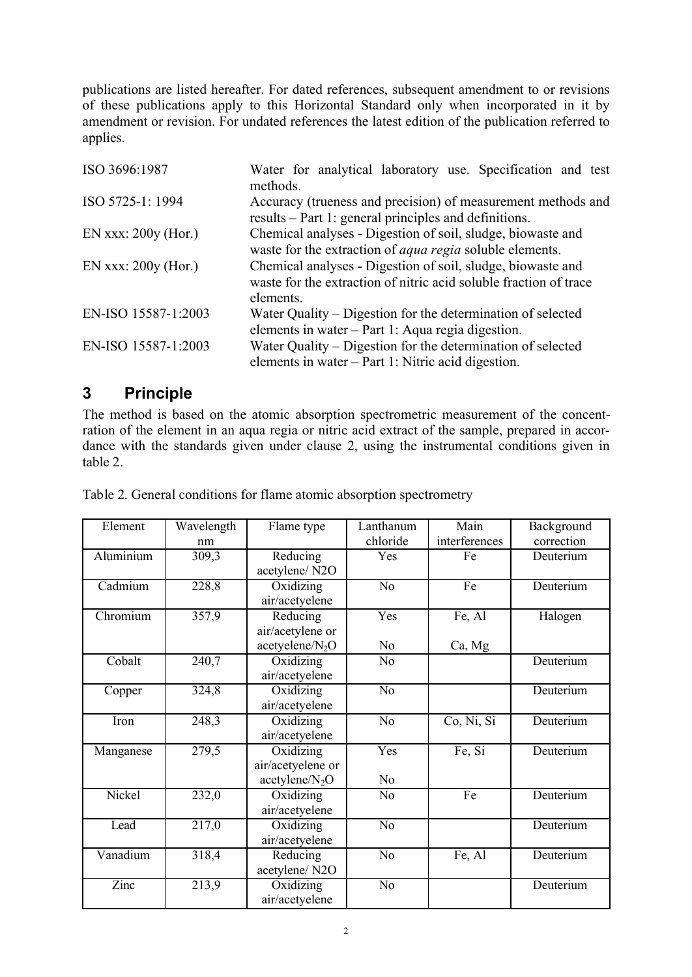publications are listed hereafter. For dated references, subsequent amendment to or revisions of these publications apply to this Horizontal Standard only when incorporated in it by amendment or revision. For undated references the latest edition of the publication referred to applies.

| ISO 3696:1987         | Water for analytical laboratory use. Specification and test<br>methods.                                                                       |  |  |  |  |
|-----------------------|-----------------------------------------------------------------------------------------------------------------------------------------------|--|--|--|--|
| ISO 5725-1: 1994      | Accuracy (trueness and precision) of measurement methods and<br>results – Part 1: general principles and definitions.                         |  |  |  |  |
| EN xxx: $200y$ (Hor.) | Chemical analyses - Digestion of soil, sludge, biowaste and<br>waste for the extraction of <i>aqua regia</i> soluble elements.                |  |  |  |  |
| EN xxx: $200y$ (Hor.) | Chemical analyses - Digestion of soil, sludge, biowaste and<br>waste for the extraction of nitric acid soluble fraction of trace<br>elements. |  |  |  |  |
| EN-ISO 15587-1:2003   | Water Quality – Digestion for the determination of selected<br>elements in water – Part 1: Aqua regia digestion.                              |  |  |  |  |
| EN-ISO 15587-1:2003   | Water Quality – Digestion for the determination of selected<br>elements in water – Part 1: Nitric acid digestion.                             |  |  |  |  |

## **3 Principle**

The method is based on the atomic absorption spectrometric measurement of the concentration of the element in an aqua regia or nitric acid extract of the sample, prepared in accordance with the standards given under clause 2, using the instrumental conditions given in table 2.

| Element   | $\overline{W}$ avelength | Flame type                  | Lanthanum       | Main          | Background |
|-----------|--------------------------|-----------------------------|-----------------|---------------|------------|
|           | nm                       |                             | chloride        | interferences | correction |
| Aluminium | 309,3                    | Reducing                    | Yes             | Fe            | Deuterium  |
|           |                          | acetylene/N2O               |                 |               |            |
| Cadmium   | 228,8                    | Oxidizing                   | N <sub>0</sub>  | Fe            | Deuterium  |
|           |                          | air/acetyelene              |                 |               |            |
| Chromium  | 357,9                    | Reducing                    | Yes             | Fe, Al        | Halogen    |
|           |                          | air/acetylene or            |                 |               |            |
|           |                          | acetyelene/N <sub>2</sub> O | N <sub>o</sub>  | Ca, Mg        |            |
| Cobalt    | 240,7                    | Oxidizing                   | N <sub>0</sub>  |               | Deuterium  |
|           |                          | air/acetyelene              |                 |               |            |
| Copper    | 324,8                    | Oxidizing                   | $\overline{No}$ |               | Deuterium  |
|           |                          | air/acetyelene              |                 |               |            |
| Iron      | 248,3                    | Oxidizing                   | $\overline{No}$ | Co, Ni, Si    | Deuterium  |
|           |                          | air/acetyelene              |                 |               |            |
| Manganese | 279,5                    | Oxidizing                   | Yes             | Fe, Si        | Deuterium  |
|           |                          | air/acetyelene or           |                 |               |            |
|           |                          | acetylene/ $N_2O$           | N <sub>0</sub>  |               |            |
| Nickel    | 232,0                    | Oxidizing                   | N <sub>0</sub>  | Fe            | Deuterium  |
|           |                          | air/acetyelene              |                 |               |            |
| Lead      | 217,0                    | Oxidizing                   | $\overline{No}$ |               | Deuterium  |
|           |                          | air/acetyelene              |                 |               |            |
| Vanadium  | 318,4                    | Reducing                    | N <sub>o</sub>  | Fe, Al        | Deuterium  |
|           |                          | acetylene/N2O               |                 |               |            |
| Zinc      | 213,9                    | Oxidizing                   | N <sub>o</sub>  |               | Deuterium  |
|           |                          | air/acetyelene              |                 |               |            |

Table 2. General conditions for flame atomic absorption spectrometry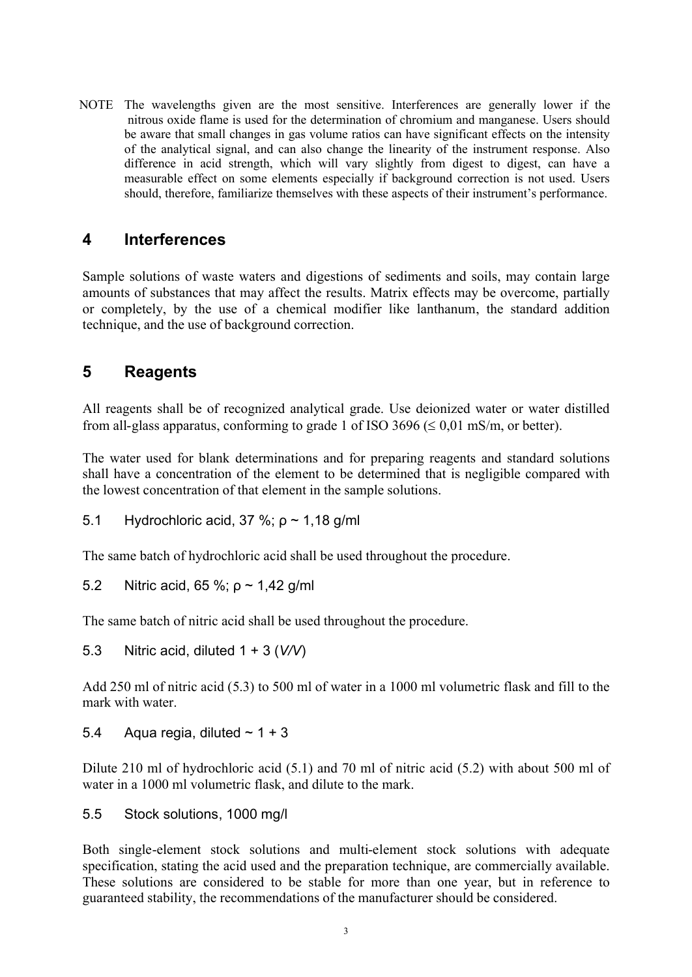NOTE The wavelengths given are the most sensitive. Interferences are generally lower if the nitrous oxide flame is used for the determination of chromium and manganese. Users should be aware that small changes in gas volume ratios can have significant effects on the intensity of the analytical signal, and can also change the linearity of the instrument response. Also difference in acid strength, which will vary slightly from digest to digest, can have a measurable effect on some elements especially if background correction is not used. Users should, therefore, familiarize themselves with these aspects of their instrument's performance.

## **4 Interferences**

Sample solutions of waste waters and digestions of sediments and soils, may contain large amounts of substances that may affect the results. Matrix effects may be overcome, partially or completely, by the use of a chemical modifier like lanthanum, the standard addition technique, and the use of background correction.

## **5 Reagents**

All reagents shall be of recognized analytical grade. Use deionized water or water distilled from all-glass apparatus, conforming to grade 1 of ISO 3696 ( $\leq 0.01$  mS/m, or better).

The water used for blank determinations and for preparing reagents and standard solutions shall have a concentration of the element to be determined that is negligible compared with the lowest concentration of that element in the sample solutions.

5.1 Hydrochloric acid, 37 %; ρ ~ 1,18 g/ml

The same batch of hydrochloric acid shall be used throughout the procedure.

5.2 Nitric acid, 65 %; ρ ~ 1,42 g/ml

The same batch of nitric acid shall be used throughout the procedure.

5.3 Nitric acid, diluted 1 + 3 (*V/V*)

Add 250 ml of nitric acid (5.3) to 500 ml of water in a 1000 ml volumetric flask and fill to the mark with water.

5.4 Aqua regia, diluted  $\sim$  1 + 3

Dilute 210 ml of hydrochloric acid (5.1) and 70 ml of nitric acid (5.2) with about 500 ml of water in a 1000 ml volumetric flask, and dilute to the mark.

5.5 Stock solutions, 1000 mg/l

Both single-element stock solutions and multi-element stock solutions with adequate specification, stating the acid used and the preparation technique, are commercially available. These solutions are considered to be stable for more than one year, but in reference to guaranteed stability, the recommendations of the manufacturer should be considered.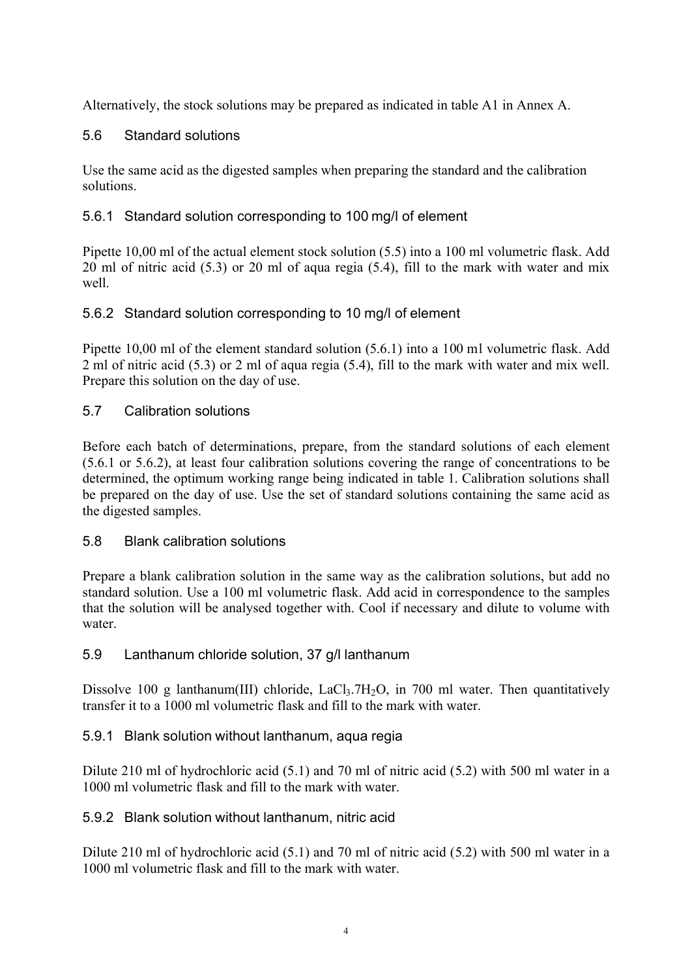Alternatively, the stock solutions may be prepared as indicated in table A1 in Annex A.

### 5.6 Standard solutions

Use the same acid as the digested samples when preparing the standard and the calibration solutions.

### 5.6.1 Standard solution corresponding to 100 mg/l of element

Pipette 10,00 ml of the actual element stock solution (5.5) into a 100 ml volumetric flask. Add 20 ml of nitric acid (5.3) or 20 ml of aqua regia (5.4), fill to the mark with water and mix well.

### 5.6.2 Standard solution corresponding to 10 mg/l of element

Pipette 10,00 ml of the element standard solution (5.6.1) into a 100 ml volumetric flask. Add 2 ml of nitric acid (5.3) or 2 ml of aqua regia (5.4), fill to the mark with water and mix well. Prepare this solution on the day of use.

### 5.7 Calibration solutions

Before each batch of determinations, prepare, from the standard solutions of each element (5.6.1 or 5.6.2), at least four calibration solutions covering the range of concentrations to be determined, the optimum working range being indicated in table 1. Calibration solutions shall be prepared on the day of use. Use the set of standard solutions containing the same acid as the digested samples.

### 5.8 Blank calibration solutions

Prepare a blank calibration solution in the same way as the calibration solutions, but add no standard solution. Use a 100 ml volumetric flask. Add acid in correspondence to the samples that the solution will be analysed together with. Cool if necessary and dilute to volume with water

### 5.9 Lanthanum chloride solution, 37 g/l lanthanum

Dissolve 100 g lanthanum(III) chloride, LaCl $_3$ .7H $_2$ O, in 700 ml water. Then quantitatively transfer it to a 1000 ml volumetric flask and fill to the mark with water.

### 5.9.1 Blank solution without lanthanum, aqua regia

Dilute 210 ml of hydrochloric acid (5.1) and 70 ml of nitric acid (5.2) with 500 ml water in a 1000 ml volumetric flask and fill to the mark with water.

### 5.9.2 Blank solution without lanthanum, nitric acid

Dilute 210 ml of hydrochloric acid (5.1) and 70 ml of nitric acid (5.2) with 500 ml water in a 1000 ml volumetric flask and fill to the mark with water.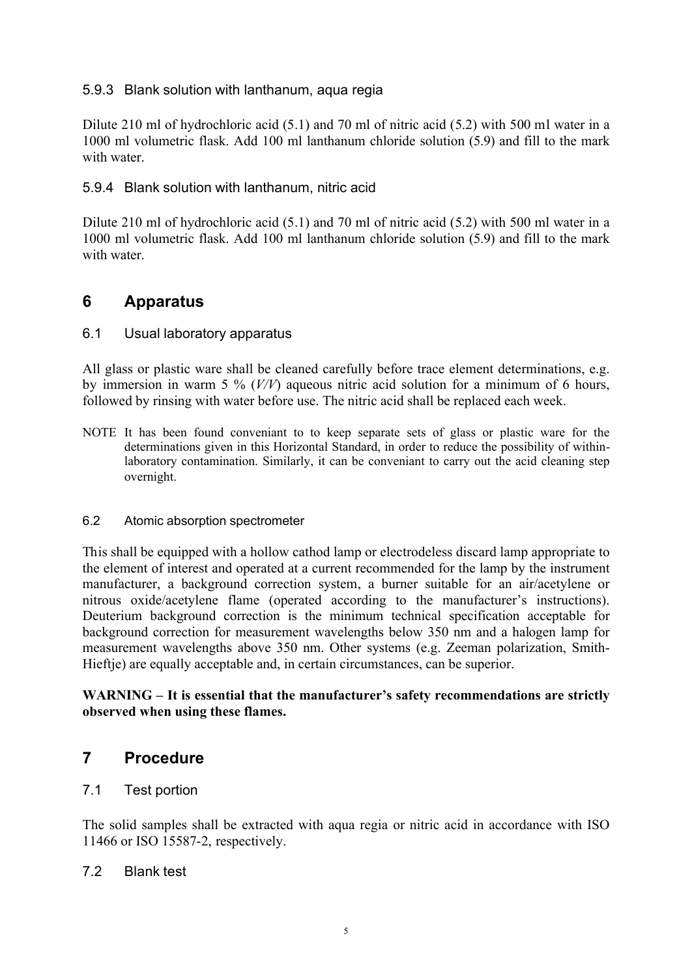#### 5.9.3 Blank solution with lanthanum, aqua regia

Dilute 210 ml of hydrochloric acid (5.1) and 70 ml of nitric acid (5.2) with 500 ml water in a 1000 ml volumetric flask. Add 100 ml lanthanum chloride solution (5.9) and fill to the mark with water

#### 5.9.4 Blank solution with lanthanum, nitric acid

Dilute 210 ml of hydrochloric acid (5.1) and 70 ml of nitric acid (5.2) with 500 ml water in a 1000 ml volumetric flask. Add 100 ml lanthanum chloride solution (5.9) and fill to the mark with water

### **6 Apparatus**

#### 6.1 Usual laboratory apparatus

All glass or plastic ware shall be cleaned carefully before trace element determinations, e.g. by immersion in warm 5 % (*V/V*) aqueous nitric acid solution for a minimum of 6 hours, followed by rinsing with water before use. The nitric acid shall be replaced each week.

NOTE It has been found conveniant to to keep separate sets of glass or plastic ware for the determinations given in this Horizontal Standard, in order to reduce the possibility of withinlaboratory contamination. Similarly, it can be conveniant to carry out the acid cleaning step overnight.

#### 6.2 Atomic absorption spectrometer

This shall be equipped with a hollow cathod lamp or electrodeless discard lamp appropriate to the element of interest and operated at a current recommended for the lamp by the instrument manufacturer, a background correction system, a burner suitable for an air/acetylene or nitrous oxide/acetylene flame (operated according to the manufacturer's instructions). Deuterium background correction is the minimum technical specification acceptable for background correction for measurement wavelengths below 350 nm and a halogen lamp for measurement wavelengths above 350 nm. Other systems (e.g. Zeeman polarization, Smith-Hieftje) are equally acceptable and, in certain circumstances, can be superior.

#### **WARNING – It is essential that the manufacturer's safety recommendations are strictly observed when using these flames.**

### **7 Procedure**

#### 7.1 Test portion

The solid samples shall be extracted with aqua regia or nitric acid in accordance with ISO 11466 or ISO 15587-2, respectively.

#### 7.2 Blank test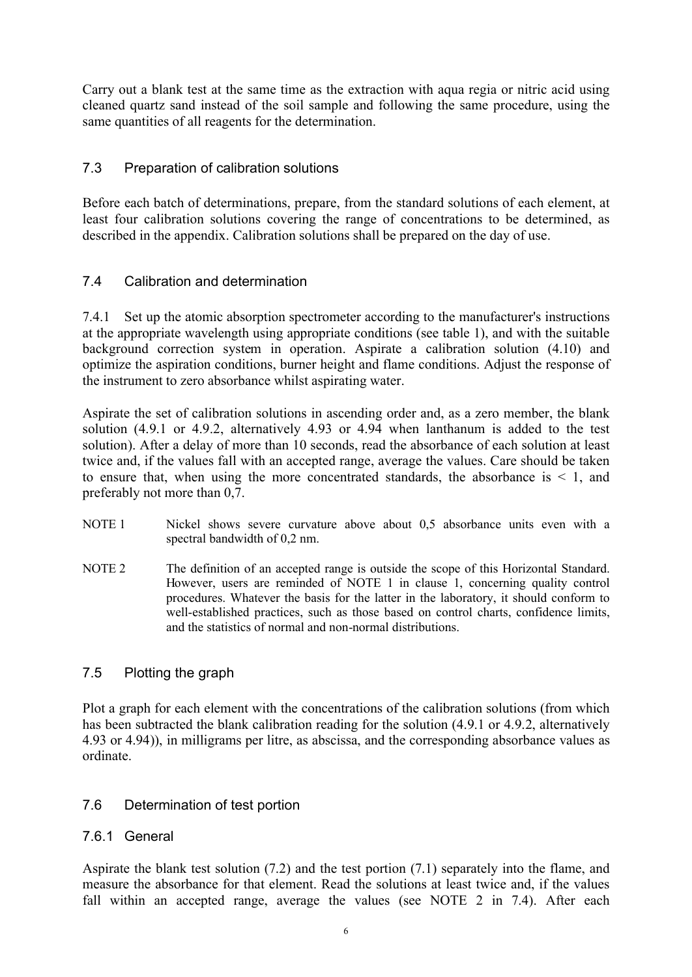Carry out a blank test at the same time as the extraction with aqua regia or nitric acid using cleaned quartz sand instead of the soil sample and following the same procedure, using the same quantities of all reagents for the determination.

### 7.3 Preparation of calibration solutions

Before each batch of determinations, prepare, from the standard solutions of each element, at least four calibration solutions covering the range of concentrations to be determined, as described in the appendix. Calibration solutions shall be prepared on the day of use.

### 7.4 Calibration and determination

7.4.1 Set up the atomic absorption spectrometer according to the manufacturer's instructions at the appropriate wavelength using appropriate conditions (see table 1), and with the suitable background correction system in operation. Aspirate a calibration solution (4.10) and optimize the aspiration conditions, burner height and flame conditions. Adjust the response of the instrument to zero absorbance whilst aspirating water.

Aspirate the set of calibration solutions in ascending order and, as a zero member, the blank solution (4.9.1 or 4.9.2, alternatively 4.93 or 4.94 when lanthanum is added to the test solution). After a delay of more than 10 seconds, read the absorbance of each solution at least twice and, if the values fall with an accepted range, average the values. Care should be taken to ensure that, when using the more concentrated standards, the absorbance is  $\leq 1$ , and preferably not more than 0,7.

- NOTE 1 Nickel shows severe curvature above about 0,5 absorbance units even with a spectral bandwidth of 0,2 nm.
- NOTE 2 The definition of an accepted range is outside the scope of this Horizontal Standard. However, users are reminded of NOTE 1 in clause 1, concerning quality control procedures. Whatever the basis for the latter in the laboratory, it should conform to well-established practices, such as those based on control charts, confidence limits, and the statistics of normal and non-normal distributions.

### 7.5 Plotting the graph

Plot a graph for each element with the concentrations of the calibration solutions (from which has been subtracted the blank calibration reading for the solution (4.9.1 or 4.9.2, alternatively 4.93 or 4.94)), in milligrams per litre, as abscissa, and the corresponding absorbance values as ordinate.

### 7.6 Determination of test portion

#### 7.6.1 General

Aspirate the blank test solution (7.2) and the test portion (7.1) separately into the flame, and measure the absorbance for that element. Read the solutions at least twice and, if the values fall within an accepted range, average the values (see NOTE 2 in 7.4). After each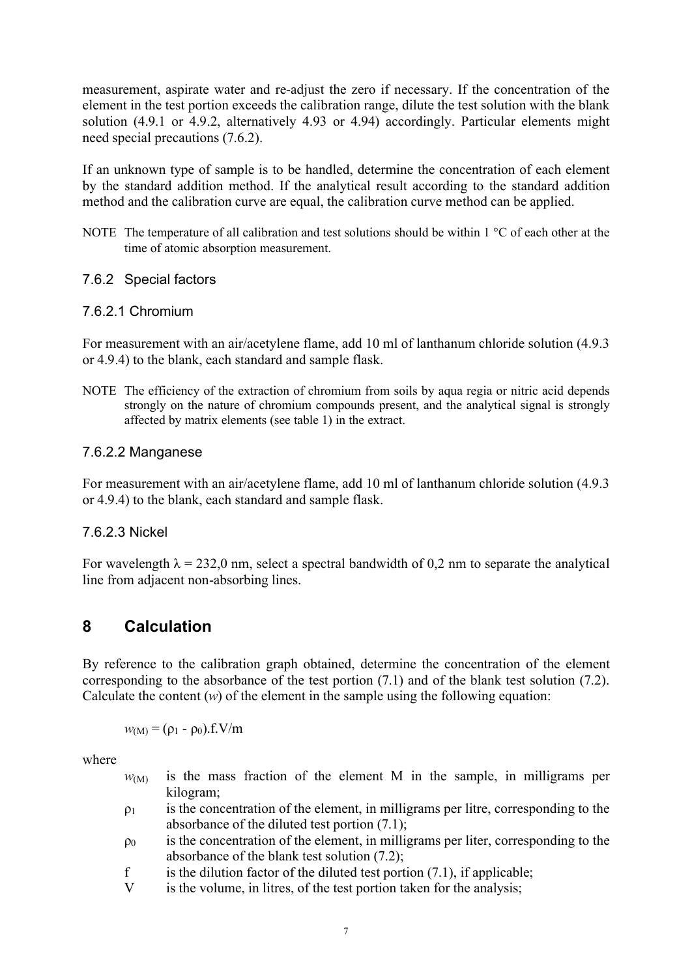measurement, aspirate water and re-adjust the zero if necessary. If the concentration of the element in the test portion exceeds the calibration range, dilute the test solution with the blank solution (4.9.1 or 4.9.2, alternatively 4.93 or 4.94) accordingly. Particular elements might need special precautions (7.6.2).

If an unknown type of sample is to be handled, determine the concentration of each element by the standard addition method. If the analytical result according to the standard addition method and the calibration curve are equal, the calibration curve method can be applied.

NOTE The temperature of all calibration and test solutions should be within 1 °C of each other at the time of atomic absorption measurement.

#### 7.6.2 Special factors

#### 7.6.2.1 Chromium

For measurement with an air/acetylene flame, add 10 ml of lanthanum chloride solution (4.9.3 or 4.9.4) to the blank, each standard and sample flask.

NOTE The efficiency of the extraction of chromium from soils by aqua regia or nitric acid depends strongly on the nature of chromium compounds present, and the analytical signal is strongly affected by matrix elements (see table 1) in the extract.

#### 7.6.2.2 Manganese

For measurement with an air/acetylene flame, add 10 ml of lanthanum chloride solution (4.9.3) or 4.9.4) to the blank, each standard and sample flask.

#### 7.6.2.3 Nickel

For wavelength  $\lambda = 232.0$  nm, select a spectral bandwidth of 0.2 nm to separate the analytical line from adjacent non-absorbing lines.

## **8 Calculation**

By reference to the calibration graph obtained, determine the concentration of the element corresponding to the absorbance of the test portion (7.1) and of the blank test solution (7.2). Calculate the content  $(w)$  of the element in the sample using the following equation:

 $w_{(M)} = (\rho_1 - \rho_0) \cdot f = V/m$ 

where

- $w<sub>(M)</sub>$  is the mass fraction of the element M in the sample, in milligrams per kilogram;
- $p_1$  is the concentration of the element, in milligrams per litre, corresponding to the absorbance of the diluted test portion (7.1);
- $\rho_0$  is the concentration of the element, in milligrams per liter, corresponding to the absorbance of the blank test solution (7.2);
- f is the dilution factor of the diluted test portion  $(7.1)$ , if applicable;
- V is the volume, in litres, of the test portion taken for the analysis;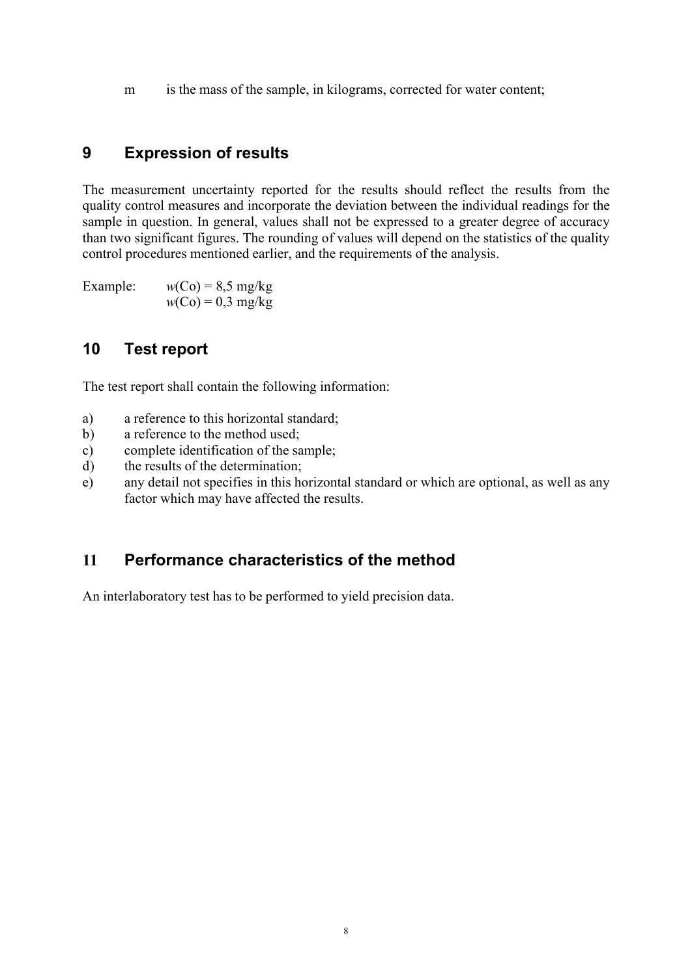m is the mass of the sample, in kilograms, corrected for water content;

## **9 Expression of results**

The measurement uncertainty reported for the results should reflect the results from the quality control measures and incorporate the deviation between the individual readings for the sample in question. In general, values shall not be expressed to a greater degree of accuracy than two significant figures. The rounding of values will depend on the statistics of the quality control procedures mentioned earlier, and the requirements of the analysis.

Example:  $w(Co) = 8.5$  mg/kg  $w(Co) = 0.3$  mg/kg

## **10 Test report**

The test report shall contain the following information:

- a) a reference to this horizontal standard;
- b) a reference to the method used;
- c) complete identification of the sample;
- d) the results of the determination;
- e) any detail not specifies in this horizontal standard or which are optional, as well as any factor which may have affected the results.

## **11 Performance characteristics of the method**

An interlaboratory test has to be performed to yield precision data.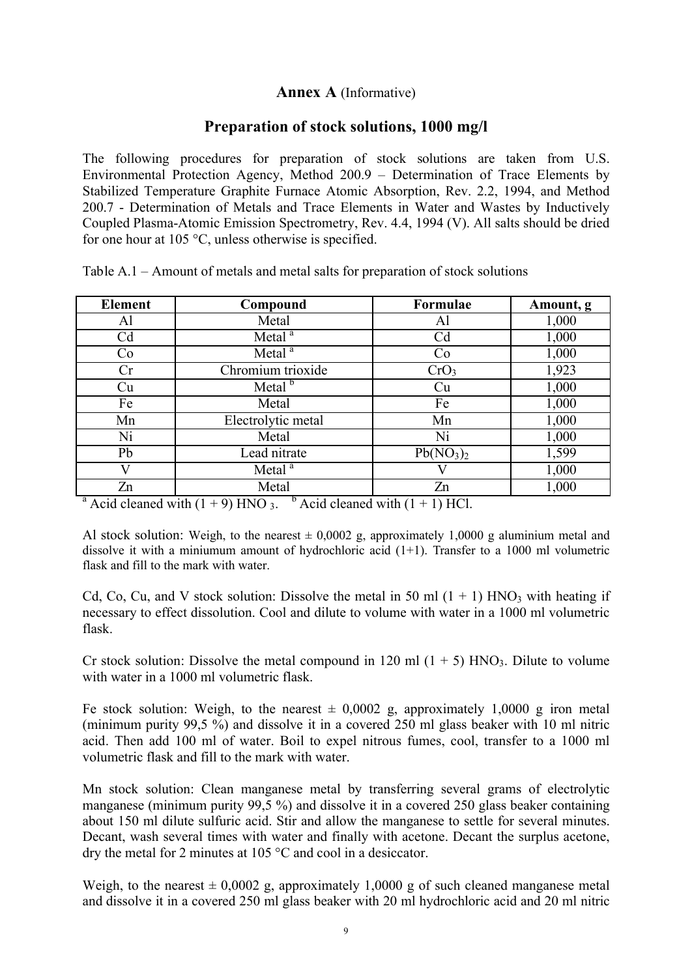### **Annex A** (Informative)

### **Preparation of stock solutions, 1000 mg/l**

The following procedures for preparation of stock solutions are taken from U.S. Environmental Protection Agency, Method 200.9 – Determination of Trace Elements by Stabilized Temperature Graphite Furnace Atomic Absorption, Rev. 2.2, 1994, and Method 200.7 - Determination of Metals and Trace Elements in Water and Wastes by Inductively Coupled Plasma-Atomic Emission Spectrometry, Rev. 4.4, 1994 (V). All salts should be dried for one hour at 105 °C, unless otherwise is specified.

| <b>Element</b> | Compound           | <b>Formulae</b>                   | Amount, g |
|----------------|--------------------|-----------------------------------|-----------|
| Al             | Metal              | Al                                | 1,000     |
| Cd             | Metal <sup>a</sup> | C <sub>d</sub>                    | 1,000     |
| Co             | Metal <sup>a</sup> | Co                                | 1,000     |
| Cr             | Chromium trioxide  | CrO <sub>3</sub>                  | 1,923     |
| Cu             | Metal <sup>b</sup> | Cu                                | 1,000     |
| Fe             | Metal              | Fe                                | 1,000     |
| Mn             | Electrolytic metal | Mn                                | 1,000     |
| Ni             | Metal              | Ni                                | 1,000     |
| Pb             | Lead nitrate       | Pb(NO <sub>3</sub> ) <sub>2</sub> | 1,599     |
|                | Metal <sup>a</sup> |                                   | 1,000     |
| Zn             | Metal              | Zn                                | 1,000     |

Table A.1 – Amount of metals and metal salts for preparation of stock solutions

<sup>a</sup> Acid cleaned with  $(1 + 9)$  HNO 3. <sup>b</sup> Acid cleaned with  $(1 + 1)$  HCl.

Al stock solution: Weigh, to the nearest  $\pm 0,0002$  g, approximately 1,0000 g aluminium metal and dissolve it with a miniumum amount of hydrochloric acid (1+1). Transfer to a 1000 ml volumetric flask and fill to the mark with water.

Cd, Co, Cu, and V stock solution: Dissolve the metal in 50 ml  $(1 + 1)$  HNO<sub>3</sub> with heating if necessary to effect dissolution. Cool and dilute to volume with water in a 1000 ml volumetric flask.

Cr stock solution: Dissolve the metal compound in 120 ml  $(1 + 5)$  HNO<sub>3</sub>. Dilute to volume with water in a 1000 ml volumetric flask.

Fe stock solution: Weigh, to the nearest  $\pm$  0,0002 g, approximately 1,0000 g iron metal (minimum purity 99,5 %) and dissolve it in a covered 250 ml glass beaker with 10 ml nitric acid. Then add 100 ml of water. Boil to expel nitrous fumes, cool, transfer to a 1000 ml volumetric flask and fill to the mark with water.

Mn stock solution: Clean manganese metal by transferring several grams of electrolytic manganese (minimum purity 99,5 %) and dissolve it in a covered 250 glass beaker containing about 150 ml dilute sulfuric acid. Stir and allow the manganese to settle for several minutes. Decant, wash several times with water and finally with acetone. Decant the surplus acetone, dry the metal for 2 minutes at 105 °C and cool in a desiccator.

Weigh, to the nearest  $\pm 0.0002$  g, approximately 1,0000 g of such cleaned manganese metal and dissolve it in a covered 250 ml glass beaker with 20 ml hydrochloric acid and 20 ml nitric